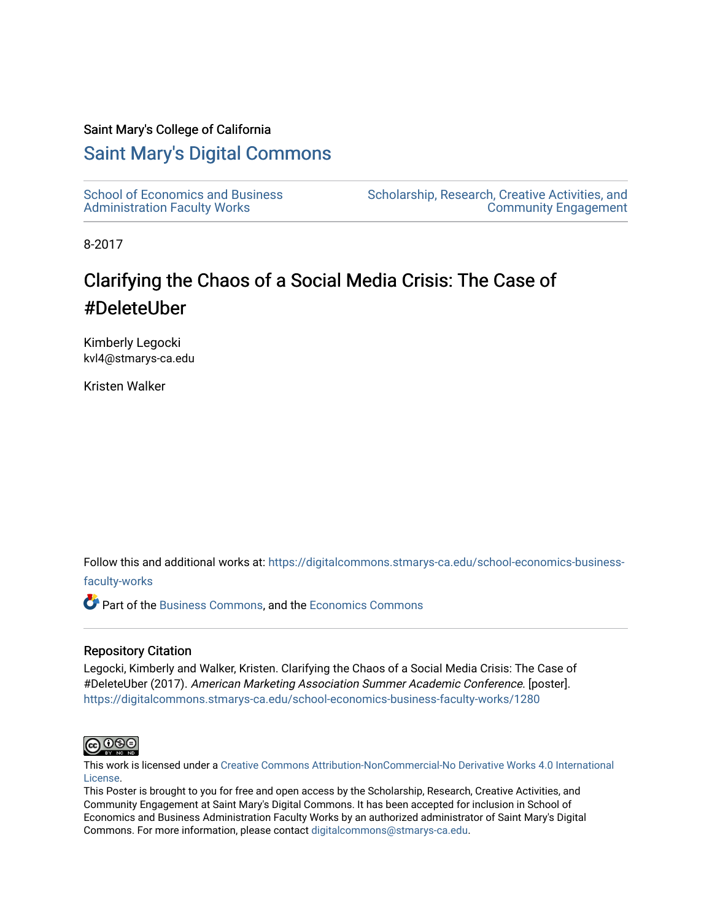#### Saint Mary's College of California

#### [Saint Mary's Digital Commons](https://digitalcommons.stmarys-ca.edu/)

[School of Economics and Business](https://digitalcommons.stmarys-ca.edu/school-economics-business-faculty-works)  [Administration Faculty Works](https://digitalcommons.stmarys-ca.edu/school-economics-business-faculty-works)

[Scholarship, Research, Creative Activities, and](https://digitalcommons.stmarys-ca.edu/scholarship-research-community)  [Community Engagement](https://digitalcommons.stmarys-ca.edu/scholarship-research-community) 

8-2017

#### Clarifying the Chaos of a Social Media Crisis: The Case of #DeleteUber

Kimberly Legocki kvl4@stmarys-ca.edu

Kristen Walker

Follow this and additional works at: [https://digitalcommons.stmarys-ca.edu/school-economics-business-](https://digitalcommons.stmarys-ca.edu/school-economics-business-faculty-works?utm_source=digitalcommons.stmarys-ca.edu%2Fschool-economics-business-faculty-works%2F1280&utm_medium=PDF&utm_campaign=PDFCoverPages)

#### [faculty-works](https://digitalcommons.stmarys-ca.edu/school-economics-business-faculty-works?utm_source=digitalcommons.stmarys-ca.edu%2Fschool-economics-business-faculty-works%2F1280&utm_medium=PDF&utm_campaign=PDFCoverPages)

Part of the [Business Commons](http://network.bepress.com/hgg/discipline/622?utm_source=digitalcommons.stmarys-ca.edu%2Fschool-economics-business-faculty-works%2F1280&utm_medium=PDF&utm_campaign=PDFCoverPages), and the [Economics Commons](http://network.bepress.com/hgg/discipline/340?utm_source=digitalcommons.stmarys-ca.edu%2Fschool-economics-business-faculty-works%2F1280&utm_medium=PDF&utm_campaign=PDFCoverPages)

#### Repository Citation

Legocki, Kimberly and Walker, Kristen. Clarifying the Chaos of a Social Media Crisis: The Case of #DeleteUber (2017). American Marketing Association Summer Academic Conference. [poster]. [https://digitalcommons.stmarys-ca.edu/school-economics-business-faculty-works/1280](https://digitalcommons.stmarys-ca.edu/school-economics-business-faculty-works/1280?utm_source=digitalcommons.stmarys-ca.edu%2Fschool-economics-business-faculty-works%2F1280&utm_medium=PDF&utm_campaign=PDFCoverPages) 



This work is licensed under a [Creative Commons Attribution-NonCommercial-No Derivative Works 4.0 International](https://creativecommons.org/licenses/by-nc-nd/4.0/) [License.](https://creativecommons.org/licenses/by-nc-nd/4.0/)

This Poster is brought to you for free and open access by the Scholarship, Research, Creative Activities, and Community Engagement at Saint Mary's Digital Commons. It has been accepted for inclusion in School of Economics and Business Administration Faculty Works by an authorized administrator of Saint Mary's Digital Commons. For more information, please contact [digitalcommons@stmarys-ca.edu](mailto:digitalcommons@stmarys-ca.edu).